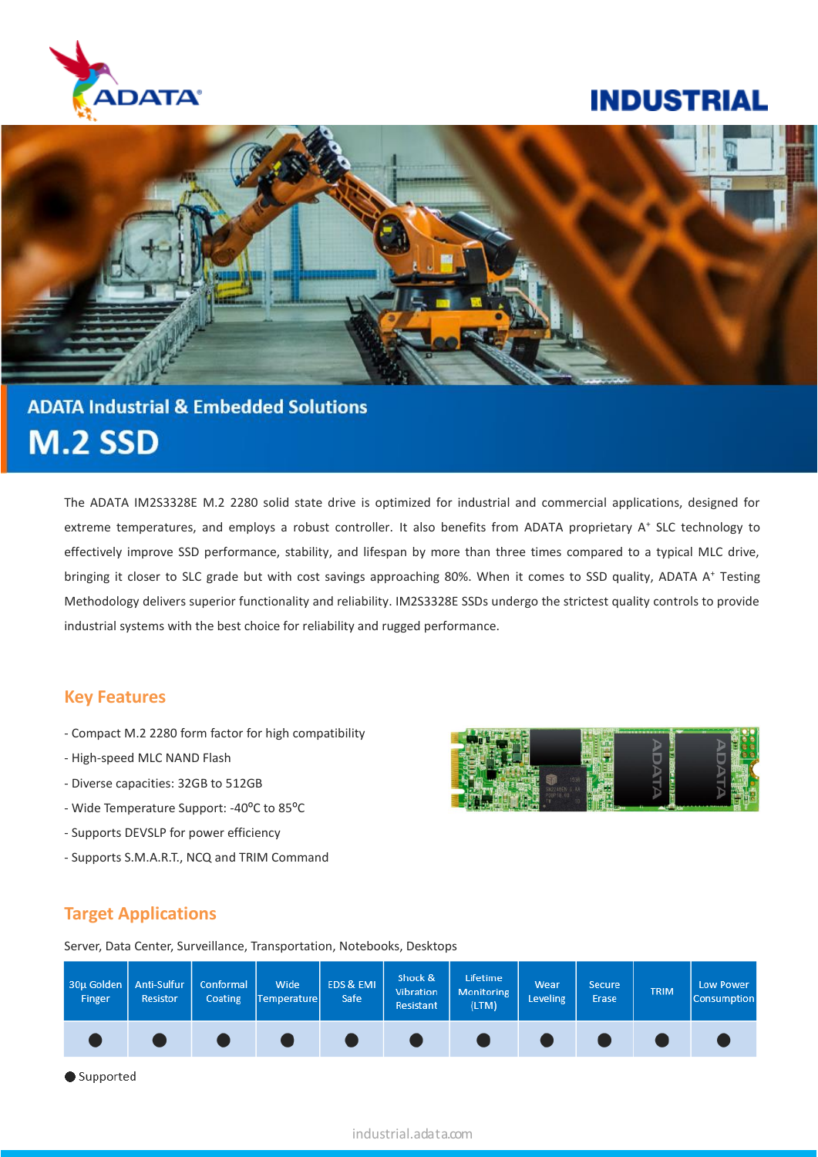

## **INDUSTRIAL**



# **ADATA Industrial & Embedded Solutions M.2 SSD**

The ADATA IM2S3328E M.2 2280 solid state drive is optimized for industrial and commercial applications, designed for extreme temperatures, and employs a robust controller. It also benefits from ADATA proprietary A<sup>+</sup> SLC technology to effectively improve SSD performance, stability, and lifespan by more than three times compared to a typical MLC drive, bringing it closer to SLC grade but with cost savings approaching 80%. When it comes to SSD quality, ADATA A<sup>+</sup> Testing Methodology delivers superior functionality and reliability. IM2S3328E SSDs undergo the strictest quality controls to provide industrial systems with the best choice for reliability and rugged performance.

#### **Key Features**

- Compact M.2 2280 form factor for high compatibility
- High-speed MLC NAND Flash
- Diverse capacities: 32GB to 512GB
- Wide Temperature Support: -40ºC to 85ºC
- Supports DEVSLP for power efficiency
- Supports S.M.A.R.T., NCQ and TRIM Command



## **Target Applications**

Server, Data Center, Surveillance, Transportation, Notebooks, Desktops